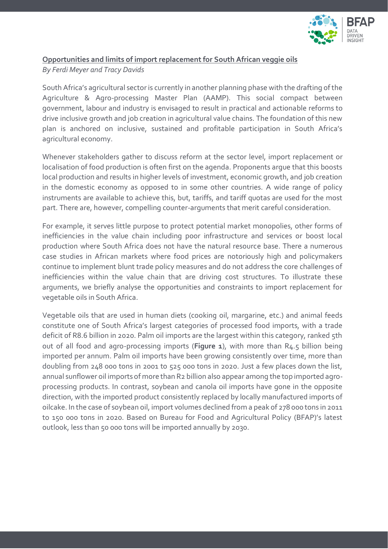

## **Opportunities and limits of import replacement for South African veggie oils**

*By Ferdi Meyer and Tracy Davids*

South Africa's agricultural sector is currently in another planning phase with the drafting of the Agriculture & Agro-processing Master Plan (AAMP). This social compact between government, labour and industry is envisaged to result in practical and actionable reforms to drive inclusive growth and job creation in agricultural value chains. The foundation of this new plan is anchored on inclusive, sustained and profitable participation in South Africa's agricultural economy.

Whenever stakeholders gather to discuss reform at the sector level, import replacement or localisation of food production is often first on the agenda. Proponents argue that this boosts local production and results in higher levels of investment, economic growth, and job creation in the domestic economy as opposed to in some other countries. A wide range of policy instruments are available to achieve this, but, tariffs, and tariff quotas are used for the most part. There are, however, compelling counter-arguments that merit careful consideration.

For example, it serves little purpose to protect potential market monopolies, other forms of inefficiencies in the value chain including poor infrastructure and services or boost local production where South Africa does not have the natural resource base. There a numerous case studies in African markets where food prices are notoriously high and policymakers continue to implement blunt trade policy measures and do not address the core challenges of inefficiencies within the value chain that are driving cost structures. To illustrate these arguments, we briefly analyse the opportunities and constraints to import replacement for vegetable oils in South Africa.

Vegetable oils that are used in human diets (cooking oil, margarine, etc.) and animal feeds constitute one of South Africa's largest categories of processed food imports, with a trade deficit of R8.6 billion in 2020. Palm oil imports are the largest within this category, ranked 5th out of all food and agro-processing imports (**Figure 1**), with more than R4.5 billion being imported per annum. Palm oil imports have been growing consistently over time, more than doubling from 248 000 tons in 2001 to 525 000 tons in 2020. Just a few places down the list, annual sunflower oil imports of more than R2 billion also appear among the top imported agroprocessing products. In contrast, soybean and canola oil imports have gone in the opposite direction, with the imported product consistently replaced by locally manufactured imports of oilcake. In the case of soybean oil, import volumes declined from a peak of 278 000 tons in 2011 to 150 000 tons in 2020. Based on Bureau for Food and Agricultural Policy (BFAP)'s latest outlook, less than 50 000 tons will be imported annually by 2030*.*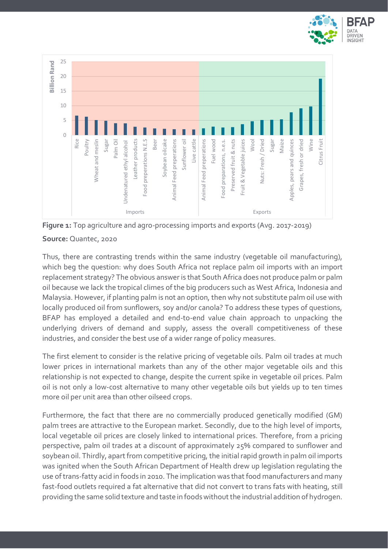



**Figure 1:** Top agriculture and agro-processing imports and exports (Avg. 2017-2019)

## **Source:** Quantec, 2020

Thus, there are contrasting trends within the same industry (vegetable oil manufacturing), which beg the question: why does South Africa not replace palm oil imports with an import replacement strategy? The obvious answer is that South Africa does not produce palm or palm oil because we lack the tropical climes of the big producers such as West Africa, Indonesia and Malaysia. However, if planting palm is not an option, then why not substitute palm oil use with locally produced oil from sunflowers, soy and/or canola? To address these types of questions, BFAP has employed a detailed and end-to-end value chain approach to unpacking the underlying drivers of demand and supply, assess the overall competitiveness of these industries, and consider the best use of a wider range of policy measures.

The first element to consider is the relative pricing of vegetable oils. Palm oil trades at much lower prices in international markets than any of the other major vegetable oils and this relationship is not expected to change, despite the current spike in vegetable oil prices. Palm oil is not only a low-cost alternative to many other vegetable oils but yields up to ten times more oil per unit area than other oilseed crops.

Furthermore, the fact that there are no commercially produced genetically modified (GM) palm trees are attractive to the European market. Secondly, due to the high level of imports, local vegetable oil prices are closely linked to international prices. Therefore, from a pricing perspective, palm oil trades at a discount of approximately 25% compared to sunflower and soybean oil. Thirdly, apart from competitive pricing, the initial rapid growth in palm oil imports was ignited when the South African Department of Health drew up legislation regulating the use of trans-fatty acid in foods in 2010. The implication was that food manufacturers and many fast-food outlets required a fat alternative that did not convert to trans fats with heating, still providing the same solid texture and taste in foods without the industrial addition of hydrogen.